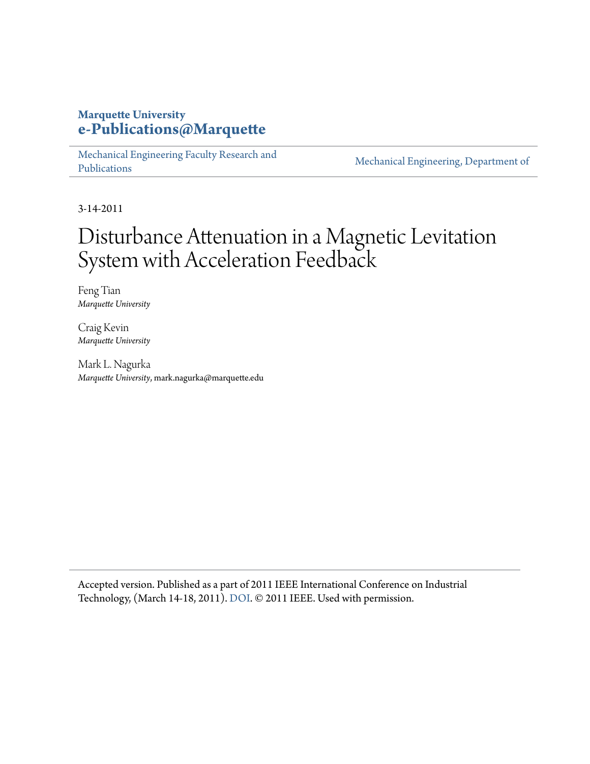## **Marquette University [e-Publications@Marquette](https://epublications.marquette.edu)**

[Mechanical Engineering Faculty Research and](https://epublications.marquette.edu/mechengin_fac) [Publications](https://epublications.marquette.edu/mechengin_fac)

[Mechanical Engineering, Department of](https://epublications.marquette.edu/mechengin)

3-14-2011

# Disturbance Attenuation in a Magnetic Levitation System with Acceleration Feedback

Feng Tian *Marquette University*

Craig Kevin *Marquette University*

Mark L. Nagurka *Marquette University*, mark.nagurka@marquette.edu

Accepted version. Published as a part of 2011 IEEE International Conference on Industrial Technology, (March 14-18, 2011). [DOI.](https://doi.org/10.1109/ICIT.2011.5754346) © 2011 IEEE. Used with permission.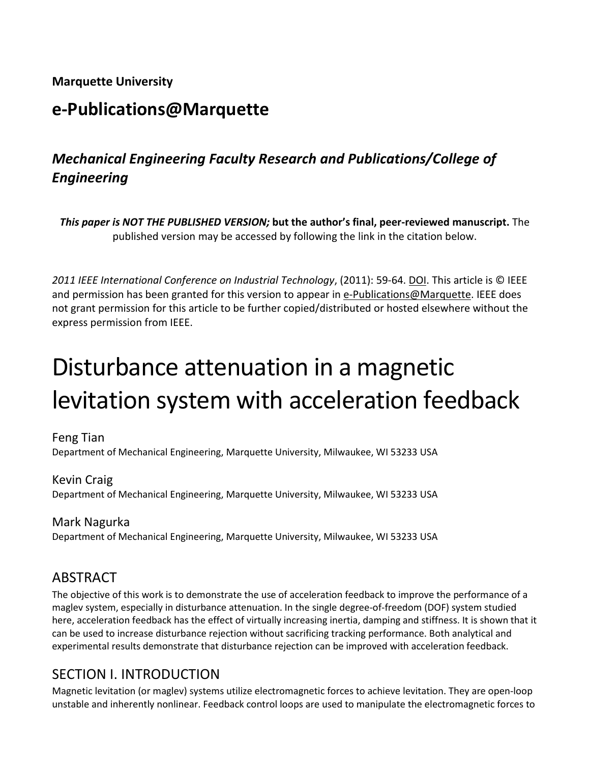## **Marquette University**

# **e-Publications@Marquette**

## *Mechanical Engineering Faculty Research and Publications/College of Engineering*

*This paper is NOT THE PUBLISHED VERSION;* **but the author's final, peer-reviewed manuscript.** The published version may be accessed by following the link in the citation below.

*2011 IEEE International Conference on Industrial Technology*, (2011): 59-64. DOI. This article is © IEEE and permission has been granted for this version to appear in [e-Publications@Marquette.](http://epublications.marquette.edu/) IEEE does not grant permission for this article to be further copied/distributed or hosted elsewhere without the express permission from IEEE.

# Disturbance attenuation in a magnetic levitation system with acceleration feedback

Feng Tian Department of Mechanical Engineering, Marquette University, Milwaukee, WI 53233 USA

Kevin Craig Department of Mechanical Engineering, Marquette University, Milwaukee, WI 53233 USA

Mark Nagurka Department of Mechanical Engineering, Marquette University, Milwaukee, WI 53233 USA

## ABSTRACT

The objective of this work is to demonstrate the use of acceleration feedback to improve the performance of a maglev system, especially in disturbance attenuation. In the single degree-of-freedom (DOF) system studied here, acceleration feedback has the effect of virtually increasing inertia, damping and stiffness. It is shown that it can be used to increase disturbance rejection without sacrificing tracking performance. Both analytical and experimental results demonstrate that disturbance rejection can be improved with acceleration feedback.

## SECTION I. INTRODUCTION

Magnetic levitation (or maglev) systems utilize electromagnetic forces to achieve levitation. They are open-loop unstable and inherently nonlinear. Feedback control loops are used to manipulate the electromagnetic forces to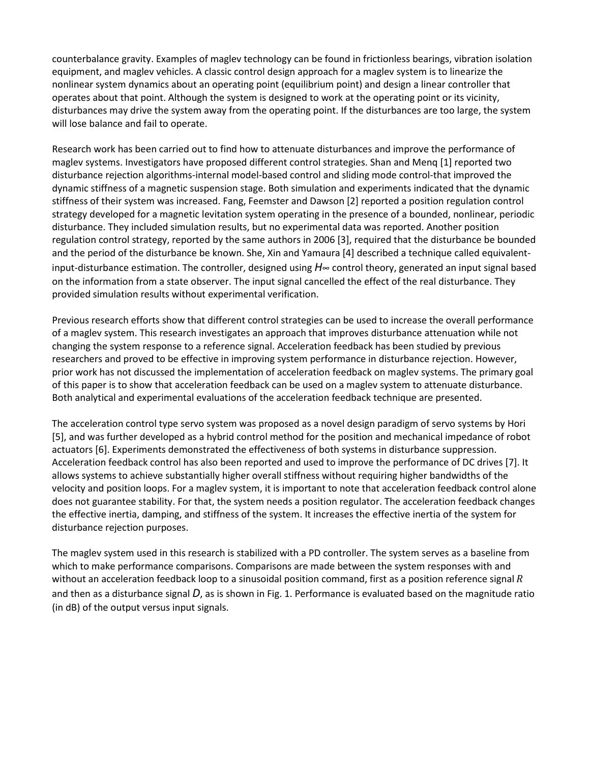counterbalance gravity. Examples of maglev technology can be found in frictionless bearings, vibration isolation equipment, and maglev vehicles. A classic control design approach for a maglev system is to linearize the nonlinear system dynamics about an operating point (equilibrium point) and design a linear controller that operates about that point. Although the system is designed to work at the operating point or its vicinity, disturbances may drive the system away from the operating point. If the disturbances are too large, the system will lose balance and fail to operate.

Research work has been carried out to find how to attenuate disturbances and improve the performance of maglev systems. Investigators have proposed different control strategies. Shan and Menq [1] reported two disturbance rejection algorithms-internal model-based control and sliding mode control-that improved the dynamic stiffness of a magnetic suspension stage. Both simulation and experiments indicated that the dynamic stiffness of their system was increased. Fang, Feemster and Dawson [2] reported a position regulation control strategy developed for a magnetic levitation system operating in the presence of a bounded, nonlinear, periodic disturbance. They included simulation results, but no experimental data was reported. Another position regulation control strategy, reported by the same authors in 2006 [3], required that the disturbance be bounded and the period of the disturbance be known. She, Xin and Yamaura [4] described a technique called equivalentinput-disturbance estimation. The controller, designed using *H*<sup>∞</sup> control theory, generated an input signal based on the information from a state observer. The input signal cancelled the effect of the real disturbance. They provided simulation results without experimental verification.

Previous research efforts show that different control strategies can be used to increase the overall performance of a maglev system. This research investigates an approach that improves disturbance attenuation while not changing the system response to a reference signal. Acceleration feedback has been studied by previous researchers and proved to be effective in improving system performance in disturbance rejection. However, prior work has not discussed the implementation of acceleration feedback on maglev systems. The primary goal of this paper is to show that acceleration feedback can be used on a maglev system to attenuate disturbance. Both analytical and experimental evaluations of the acceleration feedback technique are presented.

The acceleration control type servo system was proposed as a novel design paradigm of servo systems by Hori [5], and was further developed as a hybrid control method for the position and mechanical impedance of robot actuators [6]. Experiments demonstrated the effectiveness of both systems in disturbance suppression. Acceleration feedback control has also been reported and used to improve the performance of DC drives [7]. It allows systems to achieve substantially higher overall stiffness without requiring higher bandwidths of the velocity and position loops. For a maglev system, it is important to note that acceleration feedback control alone does not guarantee stability. For that, the system needs a position regulator. The acceleration feedback changes the effective inertia, damping, and stiffness of the system. It increases the effective inertia of the system for disturbance rejection purposes.

The maglev system used in this research is stabilized with a PD controller. The system serves as a baseline from which to make performance comparisons. Comparisons are made between the system responses with and without an acceleration feedback loop to a sinusoidal position command, first as a position reference signal  $R$ and then as a disturbance signal *D*, as is shown in Fig. 1. Performance is evaluated based on the magnitude ratio (in dB) of the output versus input signals.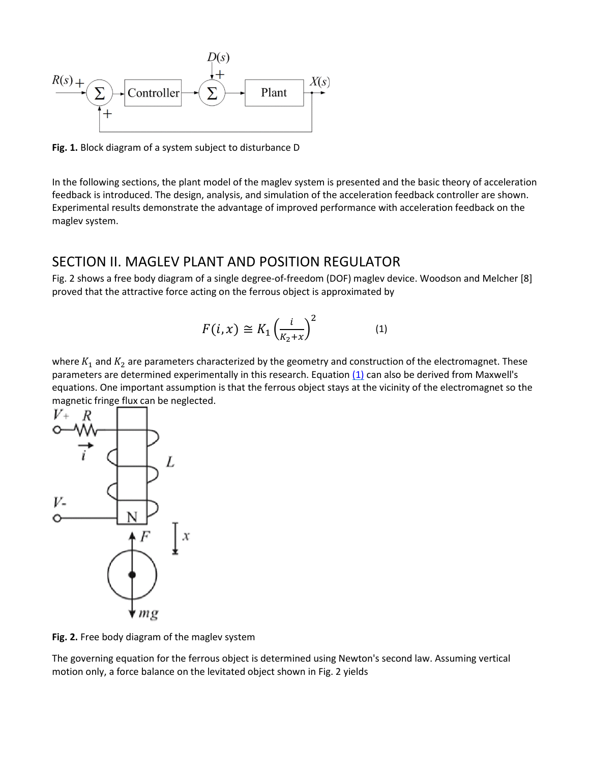

**Fig. 1.** Block diagram of a system subject to disturbance D

In the following sections, the plant model of the maglev system is presented and the basic theory of acceleration feedback is introduced. The design, analysis, and simulation of the acceleration feedback controller are shown. Experimental results demonstrate the advantage of improved performance with acceleration feedback on the maglev system.

## SECTION II. MAGLEV PLANT AND POSITION REGULATOR

Fig. 2 shows a free body diagram of a single degree-of-freedom (DOF) maglev device. Woodson and Melcher [8] proved that the attractive force acting on the ferrous object is approximated by

$$
F(i, x) \cong K_1 \left(\frac{i}{K_2 + x}\right)^2 \tag{1}
$$

where  $K_1$  and  $K_2$  are parameters characterized by the geometry and construction of the electromagnet. These parameters are determined experimentally in this research. Equation  $(1)$  can also be derived from Maxwell's equations. One important assumption is that the ferrous object stays at the vicinity of the electromagnet so the magnetic fringe flux can be neglected.



**Fig. 2.** Free body diagram of the maglev system

The governing equation for the ferrous object is determined using Newton's second law. Assuming vertical motion only, a force balance on the levitated object shown in Fig. 2 yields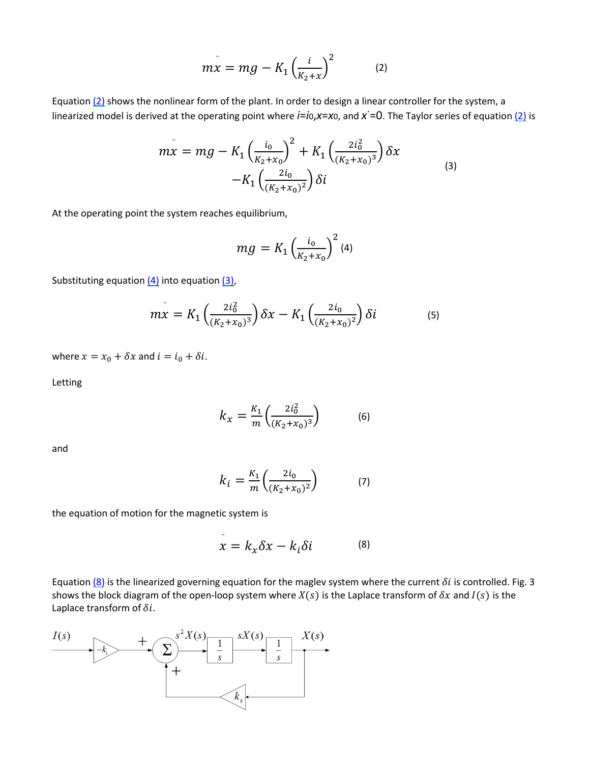$$
mx = mg - K_1 \left(\frac{i}{K_2 + x}\right)^2 \tag{2}
$$

Equatio[n \(2\)](https://ieeexplore.ieee.org/document/#deqn2) shows the nonlinear form of the plant. In order to design a linear controller for the system, a linearized model is derived at the operating point where *i*=*i*0,*x*=*x*0, and *x*˙=0. The Taylor series of equation [\(2\)](https://ieeexplore.ieee.org/document/#deqn2) is

$$
mx = mg - K_1 \left(\frac{i_0}{K_2 + x_0}\right)^2 + K_1 \left(\frac{2i_0^2}{(K_2 + x_0)^3}\right) \delta x
$$
  
- K\_1 \left(\frac{2i\_0}{(K\_2 + x\_0)^2}\right) \delta i (3)

At the operating point the system reaches equilibrium,

$$
mg = K_1 \left(\frac{i_0}{K_2 + x_0}\right)^2 (4)
$$

Substituting equation  $(4)$  into equation  $(3)$ ,

$$
mx = K_1 \left(\frac{2i_0^2}{(K_2 + x_0)^3}\right) \delta x - K_1 \left(\frac{2i_0}{(K_2 + x_0)^2}\right) \delta i \tag{5}
$$

where  $x = x_0 + \delta x$  and  $i = i_0 + \delta i$ .

Letting

$$
k_x = \frac{K_1}{m} \left( \frac{2i_0^2}{(K_2 + x_0)^3} \right) \tag{6}
$$

and

$$
k_i = \frac{K_1}{m} \left( \frac{2i_0}{(K_2 + x_0)^2} \right) \tag{7}
$$

the equation of motion for the magnetic system is

$$
x = k_x \delta x - k_i \delta i \tag{8}
$$

Equatio[n \(8\)](https://ieeexplore.ieee.org/document/#deqn8) is the linearized governing equation for the maglev system where the current  $\delta i$  is controlled. Fig. 3 shows the block diagram of the open-loop system where  $X(s)$  is the Laplace transform of  $\delta x$  and  $I(s)$  is the Laplace transform of  $\delta i$ .

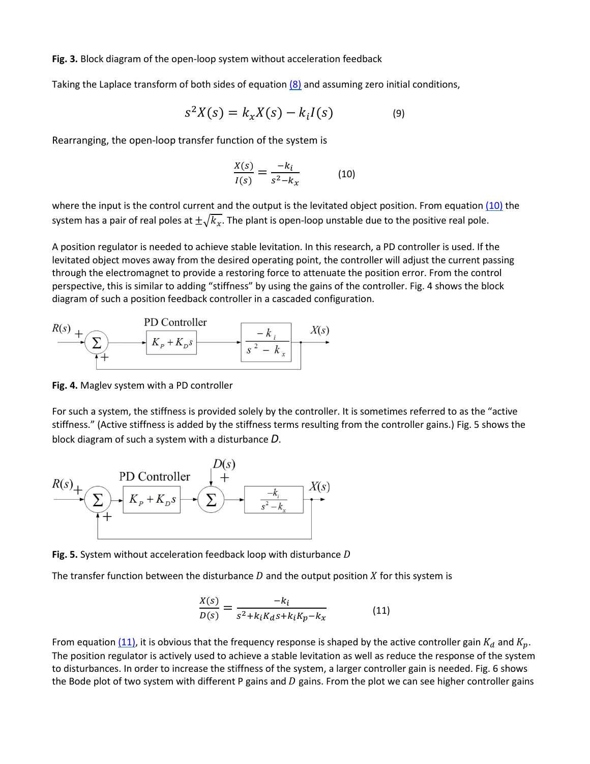#### **Fig. 3.** Block diagram of the open-loop system without acceleration feedback

Taking the Laplace transform of both sides of equation  $(8)$  and assuming zero initial conditions,

$$
s^2X(s) = k_xX(s) - k_iI(s) \tag{9}
$$

Rearranging, the open-loop transfer function of the system is

$$
\frac{X(s)}{I(s)} = \frac{-k_i}{s^2 - k_x} \tag{10}
$$

where the input is the control current and the output is the levitated object position. From equation  $(10)$  the system has a pair of real poles at  $\pm\sqrt{k_x}$ . The plant is open-loop unstable due to the positive real pole.

A position regulator is needed to achieve stable levitation. In this research, a PD controller is used. If the levitated object moves away from the desired operating point, the controller will adjust the current passing through the electromagnet to provide a restoring force to attenuate the position error. From the control perspective, this is similar to adding "stiffness" by using the gains of the controller. Fig. 4 shows the block diagram of such a position feedback controller in a cascaded configuration.



**Fig. 4.** Maglev system with a PD controller

For such a system, the stiffness is provided solely by the controller. It is sometimes referred to as the "active stiffness." (Active stiffness is added by the stiffness terms resulting from the controller gains.) Fig. 5 shows the block diagram of such a system with a disturbance *D*.





The transfer function between the disturbance  $D$  and the output position  $X$  for this system is

$$
\frac{X(s)}{D(s)} = \frac{-k_i}{s^2 + k_i K_d s + k_i K_p - k_x}
$$
(11)

From equatio[n \(11\),](https://ieeexplore.ieee.org/document/#deqn11) it is obvious that the frequency response is shaped by the active controller gain  $K_d$  and  $K_p$ . The position regulator is actively used to achieve a stable levitation as well as reduce the response of the system to disturbances. In order to increase the stiffness of the system, a larger controller gain is needed. Fig. 6 shows the Bode plot of two system with different P gains and  $D$  gains. From the plot we can see higher controller gains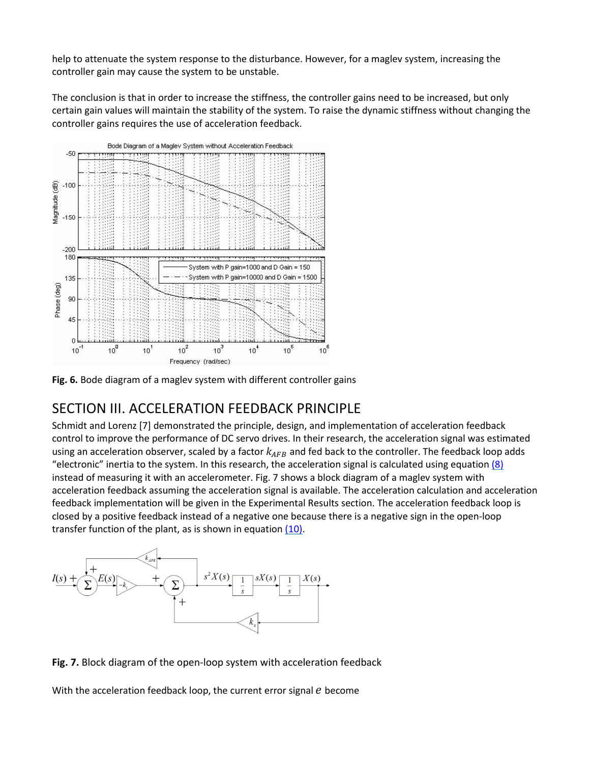help to attenuate the system response to the disturbance. However, for a maglev system, increasing the controller gain may cause the system to be unstable.

The conclusion is that in order to increase the stiffness, the controller gains need to be increased, but only certain gain values will maintain the stability of the system. To raise the dynamic stiffness without changing the controller gains requires the use of acceleration feedback.



**Fig. 6.** Bode diagram of a maglev system with different controller gains

## SECTION III. ACCELERATION FEEDBACK PRINCIPLE

Schmidt and Lorenz [7] demonstrated the principle, design, and implementation of acceleration feedback control to improve the performance of DC servo drives. In their research, the acceleration signal was estimated using an acceleration observer, scaled by a factor  $k_{AFR}$  and fed back to the controller. The feedback loop adds "electronic" inertia to the system. In this research, the acceleration signal is calculated using equation  $(8)$ instead of measuring it with an accelerometer. Fig. 7 shows a block diagram of a maglev system with acceleration feedback assuming the acceleration signal is available. The acceleration calculation and acceleration feedback implementation will be given in the Experimental Results section. The acceleration feedback loop is closed by a positive feedback instead of a negative one because there is a negative sign in the open-loop transfer function of the plant, as is shown in equation  $(10)$ .



**Fig. 7.** Block diagram of the open-loop system with acceleration feedback

With the acceleration feedback loop, the current error signal  $e$  become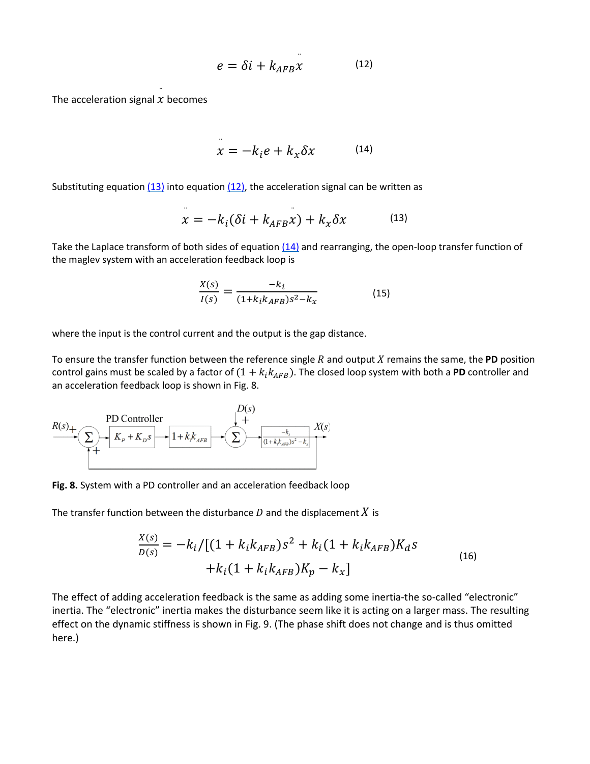$$
e = \delta i + k_{AFB} x \tag{12}
$$

The acceleration signal  $\hat{x}$  becomes

$$
x = -k_i e + k_x \delta x \qquad (14)
$$

Substituting equation  $(13)$  into equation  $(12)$ , the acceleration signal can be written as

$$
x = -k_i(\delta i + k_{AFB}x) + k_x \delta x \tag{13}
$$

Take the Laplace transform of both sides of equation  $(14)$  and rearranging, the open-loop transfer function of the maglev system with an acceleration feedback loop is

$$
\frac{X(s)}{I(s)} = \frac{-k_i}{(1 + k_i k_{AFB})s^2 - k_x}
$$
(15)

where the input is the control current and the output is the gap distance.

To ensure the transfer function between the reference single  $R$  and output  $X$  remains the same, the PD position control gains must be scaled by a factor of  $(1 + k_i k_{AFB})$ . The closed loop system with both a PD controller and an acceleration feedback loop is shown in Fig. 8.



**Fig. 8.** System with a PD controller and an acceleration feedback loop

The transfer function between the disturbance D and the displacement X is

$$
\frac{X(s)}{D(s)} = -k_i/[(1 + k_i k_{AFB})s^2 + k_i(1 + k_i k_{AFB})K_d s + k_i(1 + k_i k_{AFB})K_p - k_x]
$$
\n(16)

The effect of adding acceleration feedback is the same as adding some inertia-the so-called "electronic" inertia. The "electronic" inertia makes the disturbance seem like it is acting on a larger mass. The resulting effect on the dynamic stiffness is shown in Fig. 9. (The phase shift does not change and is thus omitted here.)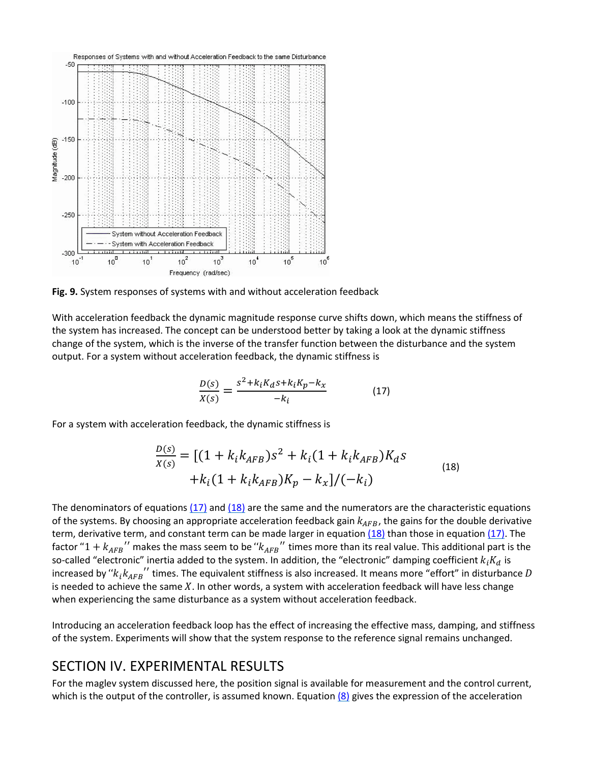

**Fig. 9.** System responses of systems with and without acceleration feedback

With acceleration feedback the dynamic magnitude response curve shifts down, which means the stiffness of the system has increased. The concept can be understood better by taking a look at the dynamic stiffness change of the system, which is the inverse of the transfer function between the disturbance and the system output. For a system without acceleration feedback, the dynamic stiffness is

$$
\frac{D(s)}{X(s)} = \frac{s^2 + k_i K_d s + k_i K_p - k_x}{-k_i}
$$
(17)

For a system with acceleration feedback, the dynamic stiffness is

$$
\frac{D(s)}{X(s)} = [(1 + k_i k_{AFB})s^2 + k_i (1 + k_i k_{AFB})K_d s + k_i (1 + k_i k_{AFB})K_p - k_x]/(-k_i)
$$
\n(18)

The denominators of equations  $(17)$  and  $(18)$  are the same and the numerators are the characteristic equations of the systems. By choosing an appropriate acceleration feedback gain  $k_{AFB}$ , the gains for the double derivative term, derivative term, and constant term can be made larger in equation  $(18)$  than those in equation  $(17)$ . The factor "1 +  $k_{AFB}$ " makes the mass seem to be " $k_{AFB}$ " times more than its real value. This additional part is the so-called "electronic" inertia added to the system. In addition, the "electronic" damping coefficient  $k_i K_d$  is increased by " $k_i k_{AFB}$ " times. The equivalent stiffness is also increased. It means more "effort" in disturbance D is needed to achieve the same  $X$ . In other words, a system with acceleration feedback will have less change when experiencing the same disturbance as a system without acceleration feedback.

Introducing an acceleration feedback loop has the effect of increasing the effective mass, damping, and stiffness of the system. Experiments will show that the system response to the reference signal remains unchanged.

## SECTION IV. EXPERIMENTAL RESULTS

For the maglev system discussed here, the position signal is available for measurement and the control current, which is the output of the controller, is assumed known. Equation  $(8)$  gives the expression of the acceleration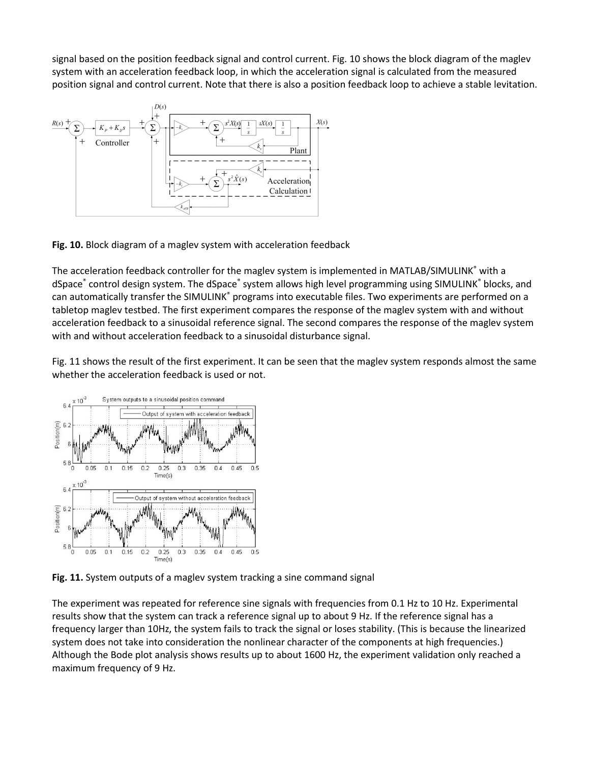signal based on the position feedback signal and control current. Fig. 10 shows the block diagram of the maglev system with an acceleration feedback loop, in which the acceleration signal is calculated from the measured position signal and control current. Note that there is also a position feedback loop to achieve a stable levitation.



**Fig. 10.** Block diagram of a maglev system with acceleration feedback

The acceleration feedback controller for the maglev system is implemented in MATLAB/SIMULINK® with a dSpace® control design system. The dSpace® system allows high level programming using SIMULINK® blocks, and can automatically transfer the SIMULINK® programs into executable files. Two experiments are performed on a tabletop maglev testbed. The first experiment compares the response of the maglev system with and without acceleration feedback to a sinusoidal reference signal. The second compares the response of the maglev system with and without acceleration feedback to a sinusoidal disturbance signal.

Fig. 11 shows the result of the first experiment. It can be seen that the maglev system responds almost the same whether the acceleration feedback is used or not.



Fig. 11. System outputs of a maglev system tracking a sine command signal

The experiment was repeated for reference sine signals with frequencies from 0.1 Hz to 10 Hz. Experimental results show that the system can track a reference signal up to about 9 Hz. If the reference signal has a frequency larger than 10Hz, the system fails to track the signal or loses stability. (This is because the linearized system does not take into consideration the nonlinear character of the components at high frequencies.) Although the Bode plot analysis shows results up to about 1600 Hz, the experiment validation only reached a maximum frequency of 9 Hz.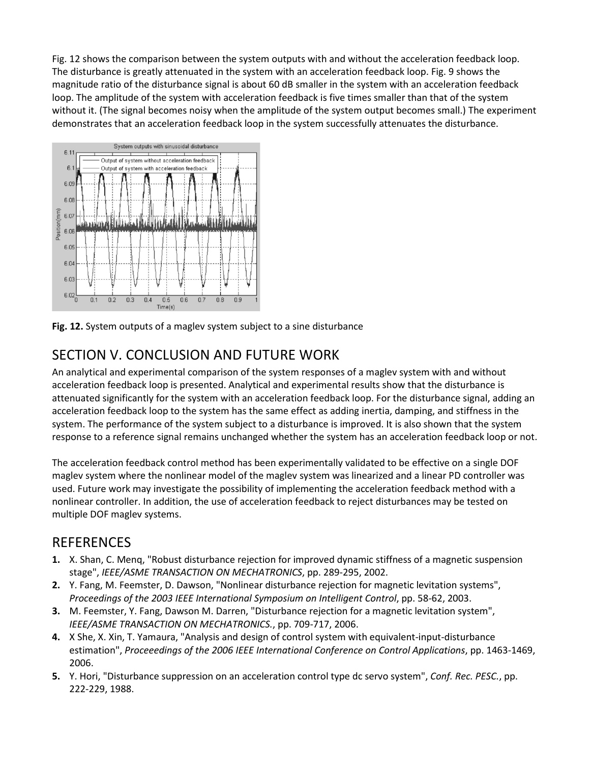Fig. 12 shows the comparison between the system outputs with and without the acceleration feedback loop. The disturbance is greatly attenuated in the system with an acceleration feedback loop. Fig. 9 shows the magnitude ratio of the disturbance signal is about 60 dB smaller in the system with an acceleration feedback loop. The amplitude of the system with acceleration feedback is five times smaller than that of the system without it. (The signal becomes noisy when the amplitude of the system output becomes small.) The experiment demonstrates that an acceleration feedback loop in the system successfully attenuates the disturbance.



**Fig. 12.** System outputs of a maglev system subject to a sine disturbance

# SECTION V. CONCLUSION AND FUTURE WORK

An analytical and experimental comparison of the system responses of a maglev system with and without acceleration feedback loop is presented. Analytical and experimental results show that the disturbance is attenuated significantly for the system with an acceleration feedback loop. For the disturbance signal, adding an acceleration feedback loop to the system has the same effect as adding inertia, damping, and stiffness in the system. The performance of the system subject to a disturbance is improved. It is also shown that the system response to a reference signal remains unchanged whether the system has an acceleration feedback loop or not.

The acceleration feedback control method has been experimentally validated to be effective on a single DOF maglev system where the nonlinear model of the maglev system was linearized and a linear PD controller was used. Future work may investigate the possibility of implementing the acceleration feedback method with a nonlinear controller. In addition, the use of acceleration feedback to reject disturbances may be tested on multiple DOF maglev systems.

## **REFERENCES**

- **1.** X. Shan, C. Menq, "Robust disturbance rejection for improved dynamic stiffness of a magnetic suspension stage", *IEEE/ASME TRANSACTION ON MECHATRONICS*, pp. 289-295, 2002.
- **2.** Y. Fang, M. Feemster, D. Dawson, "Nonlinear disturbance rejection for magnetic levitation systems", *Proceedings of the 2003 IEEE International Symposium on Intelligent Control*, pp. 58-62, 2003.
- **3.** M. Feemster, Y. Fang, Dawson M. Darren, "Disturbance rejection for a magnetic levitation system", *IEEE/ASME TRANSACTION ON MECHATRONICS.*, pp. 709-717, 2006.
- **4.** X She, X. Xin, T. Yamaura, "Analysis and design of control system with equivalent-input-disturbance estimation", *Proceeedings of the 2006 IEEE International Conference on Control Applications*, pp. 1463-1469, 2006.
- **5.** Y. Hori, "Disturbance suppression on an acceleration control type dc servo system", *Conf. Rec. PESC.*, pp. 222-229, 1988.